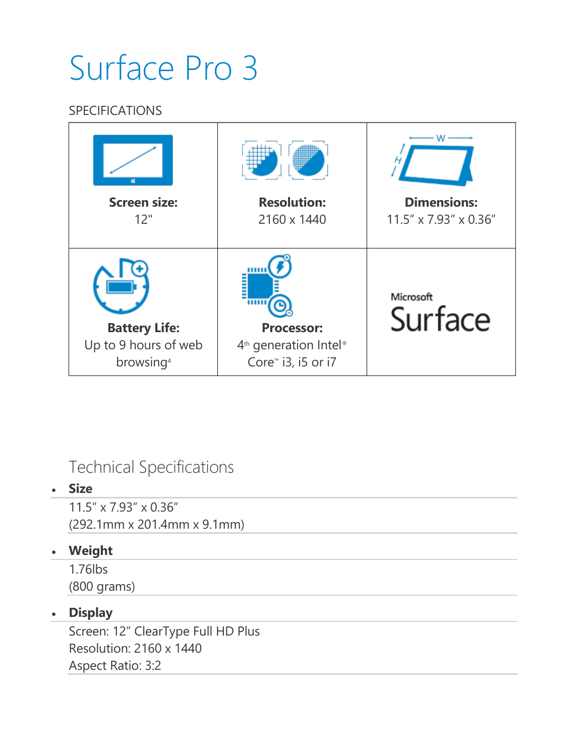# Surface Pro 3

### **SPECIFICATIONS**

| m                                                                     |                                                                                |                       |
|-----------------------------------------------------------------------|--------------------------------------------------------------------------------|-----------------------|
| <b>Screen size:</b>                                                   | <b>Resolution:</b>                                                             | <b>Dimensions:</b>    |
| 12"                                                                   | 2160 x 1440                                                                    | 11.5" x 7.93" x 0.36" |
| <b>Battery Life:</b><br>Up to 9 hours of web<br>browsing <sup>4</sup> | <b>Processor:</b><br>$4th$ generation Intel®<br>Core <sup>™</sup> i3, i5 or i7 | Microsoft<br>Surface  |

# Technical Specifications

#### **Size**

11.5" x 7.93" x 0.36" (292.1mm x 201.4mm x 9.1mm)

### **Weight**

1.76lbs (800 grams)

## **Display**

Screen: 12" ClearType Full HD Plus Resolution: 2160 x 1440 Aspect Ratio: 3:2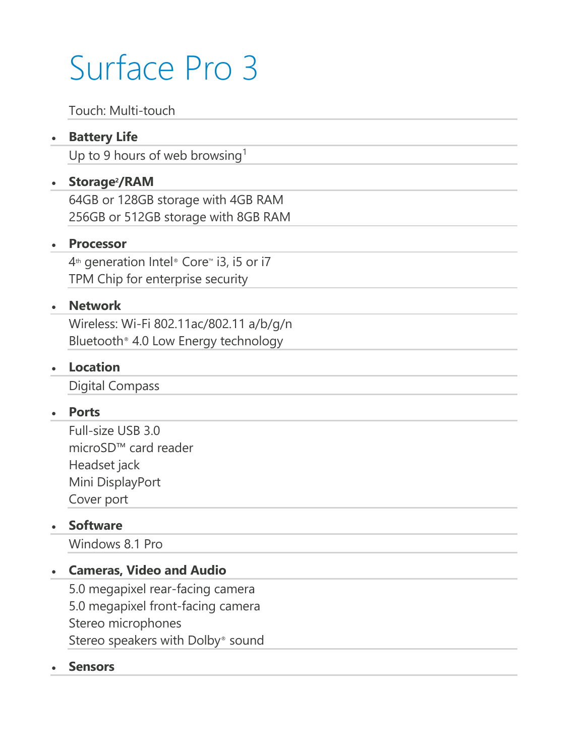# Surface Pro 3

Touch: Multi-touch

### **Battery Life**

Up to 9 hours of web browsing<sup>1</sup>

#### **Storage2/RAM**

64GB or 128GB storage with 4GB RAM 256GB or 512GB storage with 8GB RAM

#### **Processor**

4<sup>th</sup> generation Intel® Core™ i3, i5 or i7 TPM Chip for enterprise security

#### **Network**

Wireless: Wi-Fi 802.11ac/802.11 a/b/g/n Bluetooth® 4.0 Low Energy technology

#### **Location**

Digital Compass

#### **Ports**

Full-size USB 3.0 microSD™ card reader Headset jack Mini DisplayPort Cover port

#### **Software**

Windows 8.1 Pro

#### **Cameras, Video and Audio**

5.0 megapixel rear-facing camera 5.0 megapixel front-facing camera Stereo microphones Stereo speakers with Dolby® sound

#### **Sensors**